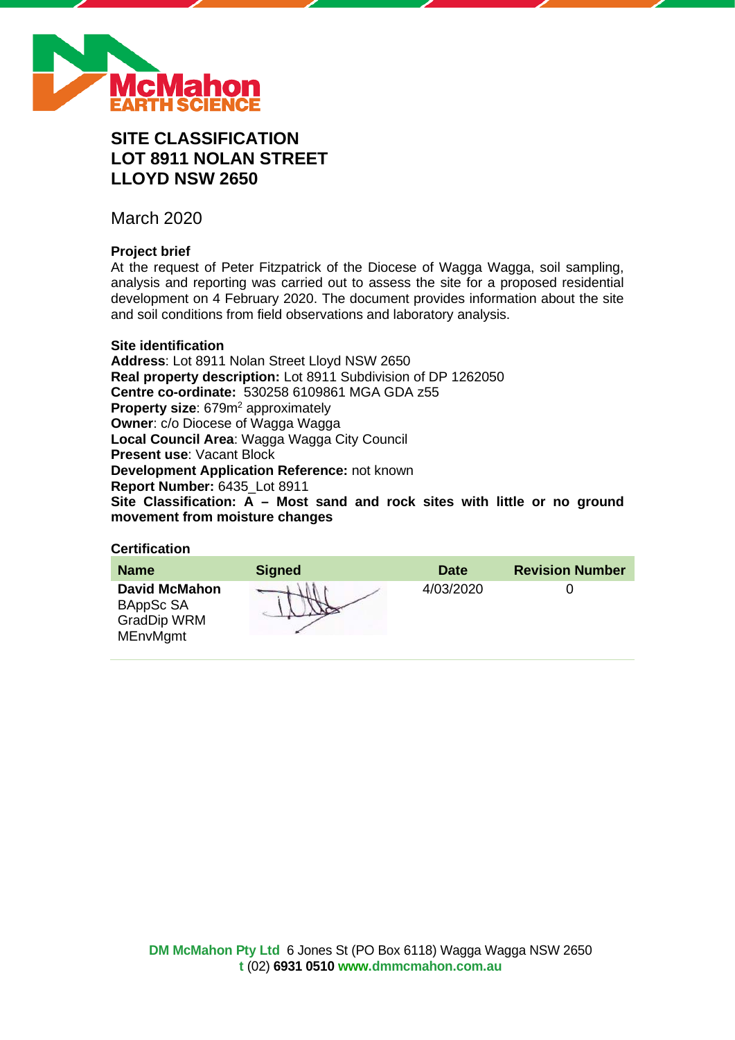

# **SITE CLASSIFICATION LOT 8911 NOLAN STREET LLOYD NSW 2650**

March 2020

### **Project brief**

At the request of Peter Fitzpatrick of the Diocese of Wagga Wagga, soil sampling, analysis and reporting was carried out to assess the site for a proposed residential development on 4 February 2020. The document provides information about the site and soil conditions from field observations and laboratory analysis.

### **Site identification**

**Address**: Lot 8911 Nolan Street Lloyd NSW 2650 **Real property description:** Lot 8911 Subdivision of DP 1262050 **Centre co-ordinate:** 530258 6109861 MGA GDA z55 **Property size:** 679m<sup>2</sup> approximately **Owner**: c/o Diocese of Wagga Wagga **Local Council Area**: Wagga Wagga City Council **Present use**: Vacant Block **Development Application Reference:** not known **Report Number:** 6435\_Lot 8911 **Site Classification: A – Most sand and rock sites with little or no ground movement from moisture changes**

### **Certification**

| <b>Name</b>                                                                | <b>Signed</b> | <b>Date</b> | <b>Revision Number</b> |
|----------------------------------------------------------------------------|---------------|-------------|------------------------|
| <b>David McMahon</b><br>BAppSc SA<br><b>GradDip WRM</b><br><b>MEnvMgmt</b> |               | 4/03/2020   |                        |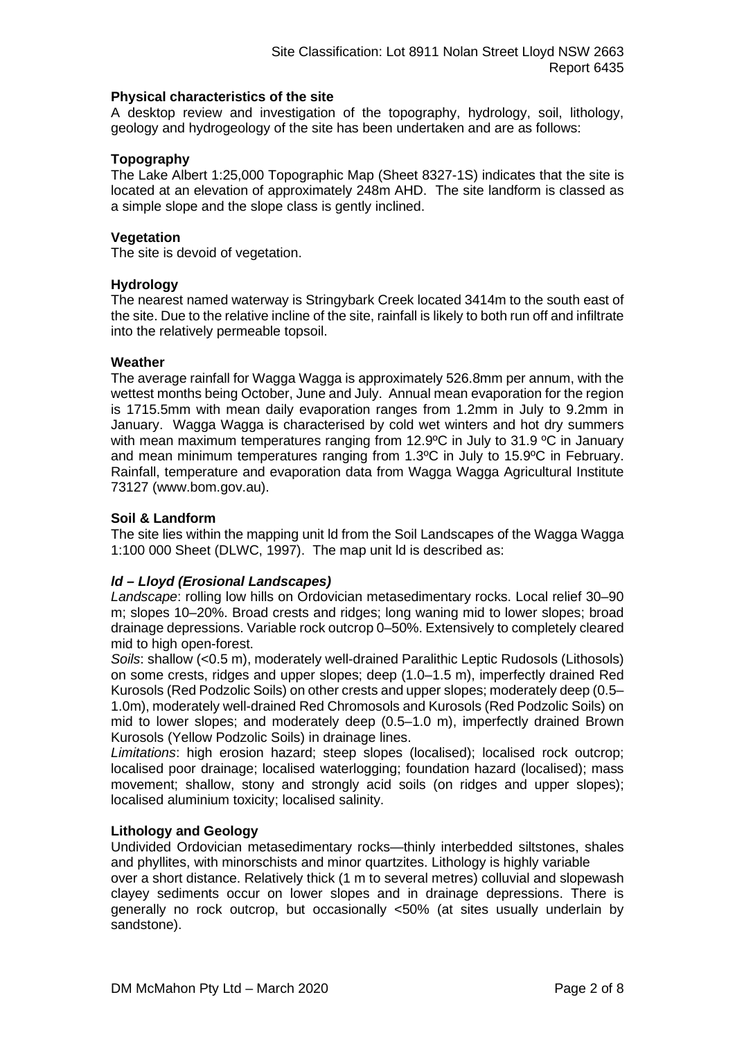#### **Physical characteristics of the site**

A desktop review and investigation of the topography, hydrology, soil, lithology, geology and hydrogeology of the site has been undertaken and are as follows:

### **Topography**

The Lake Albert 1:25,000 Topographic Map (Sheet 8327-1S) indicates that the site is located at an elevation of approximately 248m AHD. The site landform is classed as a simple slope and the slope class is gently inclined.

### **Vegetation**

The site is devoid of vegetation.

### **Hydrology**

The nearest named waterway is Stringybark Creek located 3414m to the south east of the site. Due to the relative incline of the site, rainfall is likely to both run off and infiltrate into the relatively permeable topsoil.

### **Weather**

The average rainfall for Wagga Wagga is approximately 526.8mm per annum, with the wettest months being October, June and July. Annual mean evaporation for the region is 1715.5mm with mean daily evaporation ranges from 1.2mm in July to 9.2mm in January. Wagga Wagga is characterised by cold wet winters and hot dry summers with mean maximum temperatures ranging from 12.9°C in July to 31.9 °C in January and mean minimum temperatures ranging from 1.3ºC in July to 15.9ºC in February. Rainfall, temperature and evaporation data from Wagga Wagga Agricultural Institute 73127 (www.bom.gov.au).

### **Soil & Landform**

The site lies within the mapping unit ld from the Soil Landscapes of the Wagga Wagga 1:100 000 Sheet (DLWC, 1997). The map unit ld is described as:

### *ld – Lloyd (Erosional Landscapes)*

*Landscape*: rolling low hills on Ordovician metasedimentary rocks. Local relief 30–90 m; slopes 10–20%. Broad crests and ridges; long waning mid to lower slopes; broad drainage depressions. Variable rock outcrop 0–50%. Extensively to completely cleared mid to high open-forest.

*Soils*: shallow (<0.5 m), moderately well-drained Paralithic Leptic Rudosols (Lithosols) on some crests, ridges and upper slopes; deep (1.0–1.5 m), imperfectly drained Red Kurosols (Red Podzolic Soils) on other crests and upper slopes; moderately deep (0.5– 1.0m), moderately well-drained Red Chromosols and Kurosols (Red Podzolic Soils) on mid to lower slopes; and moderately deep (0.5–1.0 m), imperfectly drained Brown Kurosols (Yellow Podzolic Soils) in drainage lines.

*Limitations*: high erosion hazard; steep slopes (localised); localised rock outcrop; localised poor drainage; localised waterlogging; foundation hazard (localised); mass movement; shallow, stony and strongly acid soils (on ridges and upper slopes); localised aluminium toxicity; localised salinity.

### **Lithology and Geology**

Undivided Ordovician metasedimentary rocks—thinly interbedded siltstones, shales and phyllites, with minorschists and minor quartzites. Lithology is highly variable

over a short distance. Relatively thick (1 m to several metres) colluvial and slopewash clayey sediments occur on lower slopes and in drainage depressions. There is generally no rock outcrop, but occasionally <50% (at sites usually underlain by sandstone).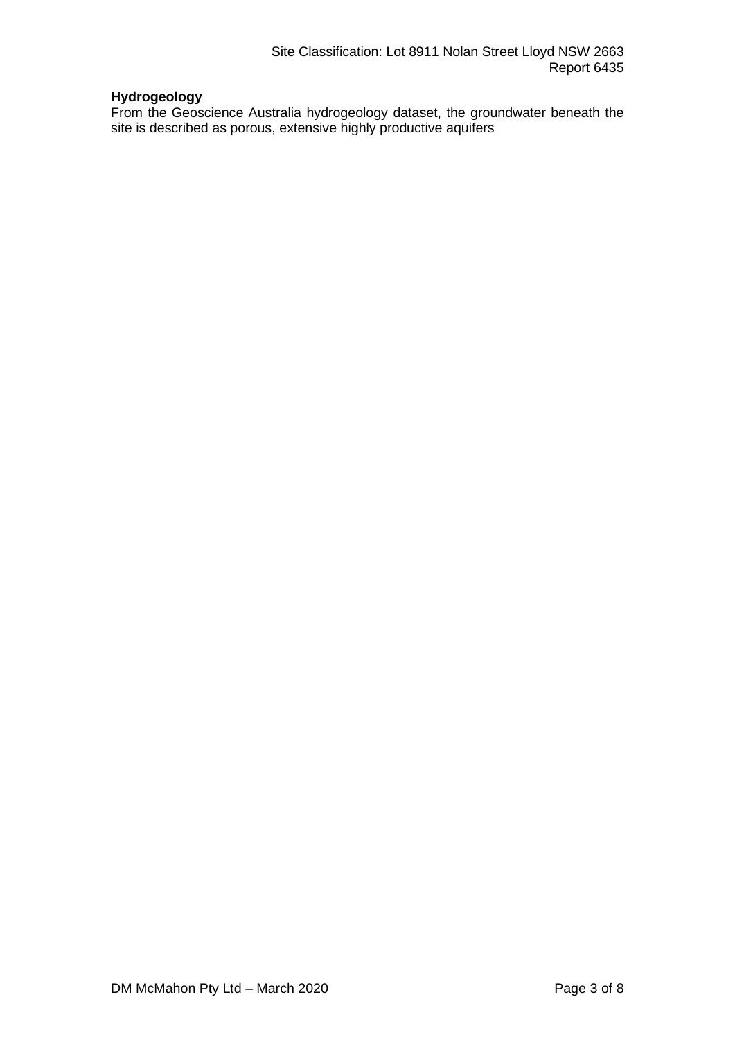## **Hydrogeology**

From the Geoscience Australia hydrogeology dataset, the groundwater beneath the site is described as porous, extensive highly productive aquifers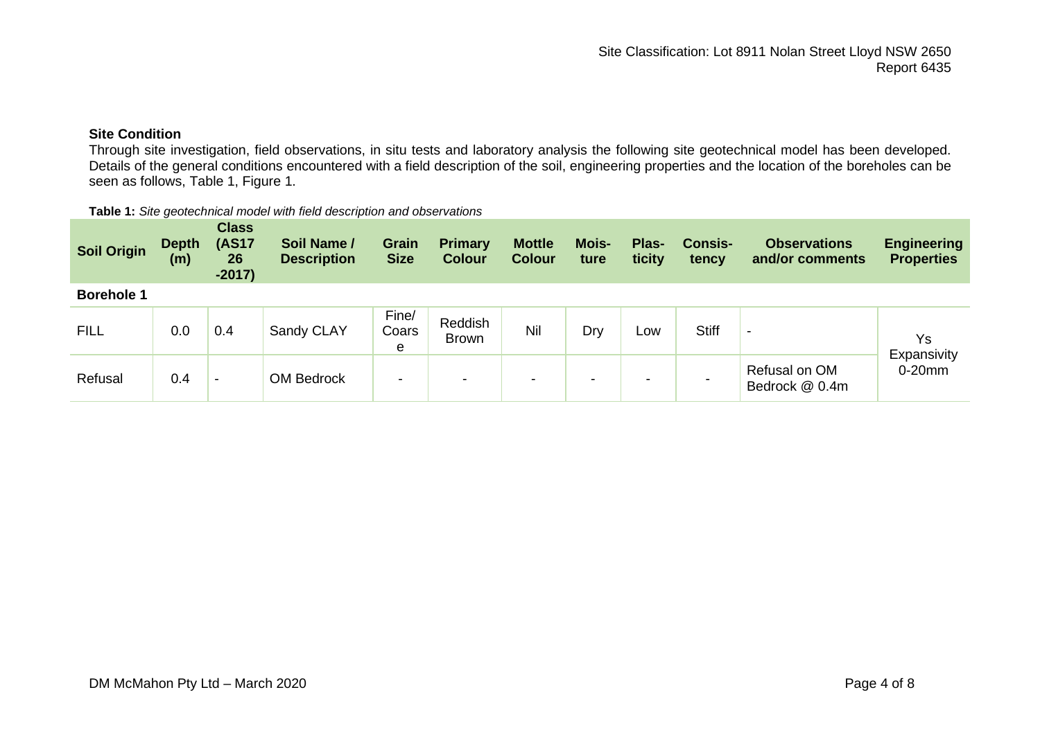### **Site Condition**

Through site investigation, field observations, in situ tests and laboratory analysis the following site geotechnical model has been developed. Details of the general conditions encountered with a field description of the soil, engineering properties and the location of the boreholes can be seen as follows, Table 1, Figure 1.

#### **Table 1:** *Site geotechnical model with field description and observations*

| <b>Soil Origin</b> | <b>Depth</b><br>(m) | <b>Class</b><br><b>(AS17</b><br>26<br>$-2017)$ | Soil Name /<br><b>Description</b> | <b>Grain</b><br><b>Size</b> | <b>Primary</b><br><b>Colour</b> | <b>Mottle</b><br><b>Colour</b> | <b>Mois-</b><br>ture     | Plas-<br>ticity | <b>Consis-</b><br>tency | <b>Observations</b><br>and/or comments | <b>Engineering</b><br><b>Properties</b> |
|--------------------|---------------------|------------------------------------------------|-----------------------------------|-----------------------------|---------------------------------|--------------------------------|--------------------------|-----------------|-------------------------|----------------------------------------|-----------------------------------------|
| <b>Borehole 1</b>  |                     |                                                |                                   |                             |                                 |                                |                          |                 |                         |                                        |                                         |
| <b>FILL</b>        | 0.0                 | 0.4                                            | Sandy CLAY                        | Fine/<br>Coars<br>е         | Reddish<br>Brown                | Nil                            | Dry                      | Low             | <b>Stiff</b>            | ٠                                      | Ys<br>Expansivity                       |
| Refusal            | 0.4                 | $\overline{\phantom{0}}$                       | <b>OM Bedrock</b>                 | $\blacksquare$              | $\,$                            | -                              | $\overline{\phantom{a}}$ | -               |                         | Refusal on OM<br>Bedrock @ 0.4m        | $0-20$ mm                               |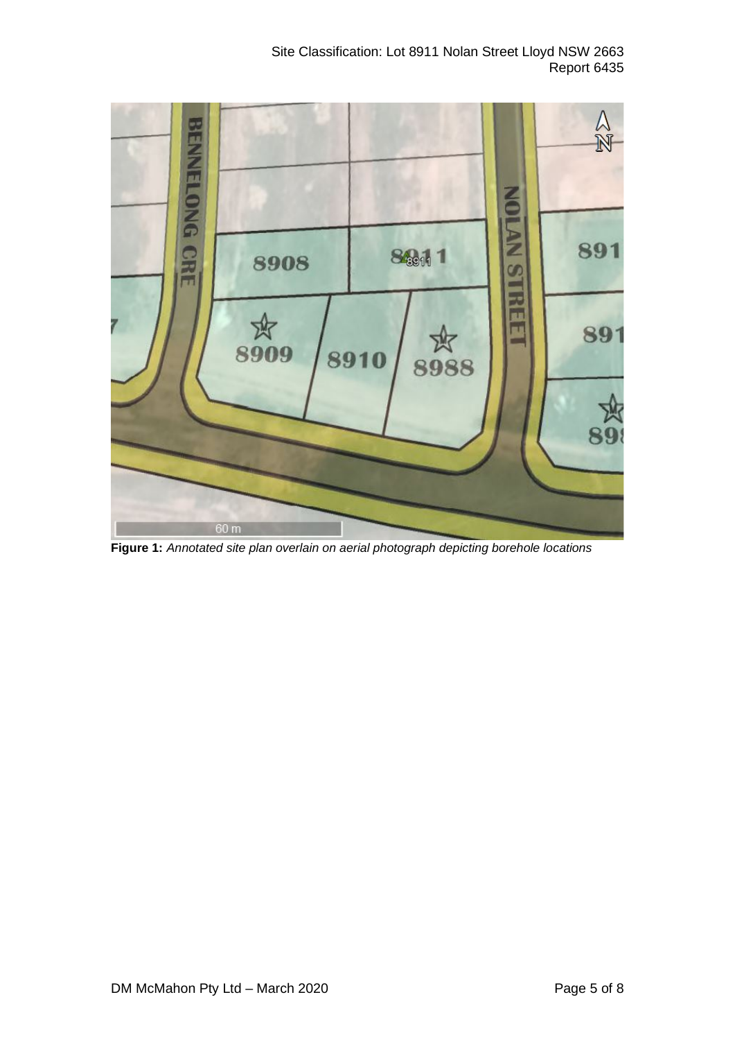

**Figure 1:** *Annotated site plan overlain on aerial photograph depicting borehole locations*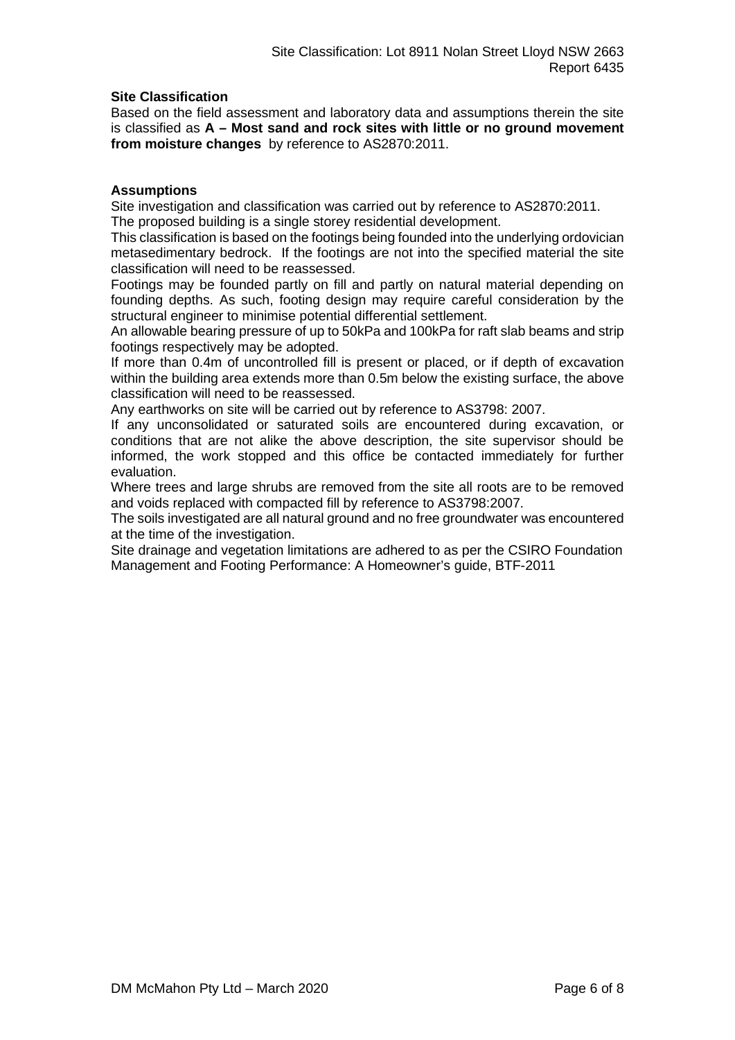### **Site Classification**

Based on the field assessment and laboratory data and assumptions therein the site is classified as **A – Most sand and rock sites with little or no ground movement from moisture changes** by reference to AS2870:2011.

### **Assumptions**

Site investigation and classification was carried out by reference to AS2870:2011. The proposed building is a single storey residential development.

This classification is based on the footings being founded into the underlying ordovician metasedimentary bedrock. If the footings are not into the specified material the site classification will need to be reassessed.

Footings may be founded partly on fill and partly on natural material depending on founding depths. As such, footing design may require careful consideration by the structural engineer to minimise potential differential settlement.

An allowable bearing pressure of up to 50kPa and 100kPa for raft slab beams and strip footings respectively may be adopted.

If more than 0.4m of uncontrolled fill is present or placed, or if depth of excavation within the building area extends more than 0.5m below the existing surface, the above classification will need to be reassessed.

Any earthworks on site will be carried out by reference to AS3798: 2007.

If any unconsolidated or saturated soils are encountered during excavation, or conditions that are not alike the above description, the site supervisor should be informed, the work stopped and this office be contacted immediately for further evaluation.

Where trees and large shrubs are removed from the site all roots are to be removed and voids replaced with compacted fill by reference to AS3798:2007.

The soils investigated are all natural ground and no free groundwater was encountered at the time of the investigation.

Site drainage and vegetation limitations are adhered to as per the CSIRO Foundation Management and Footing Performance: A Homeowner's guide, BTF-2011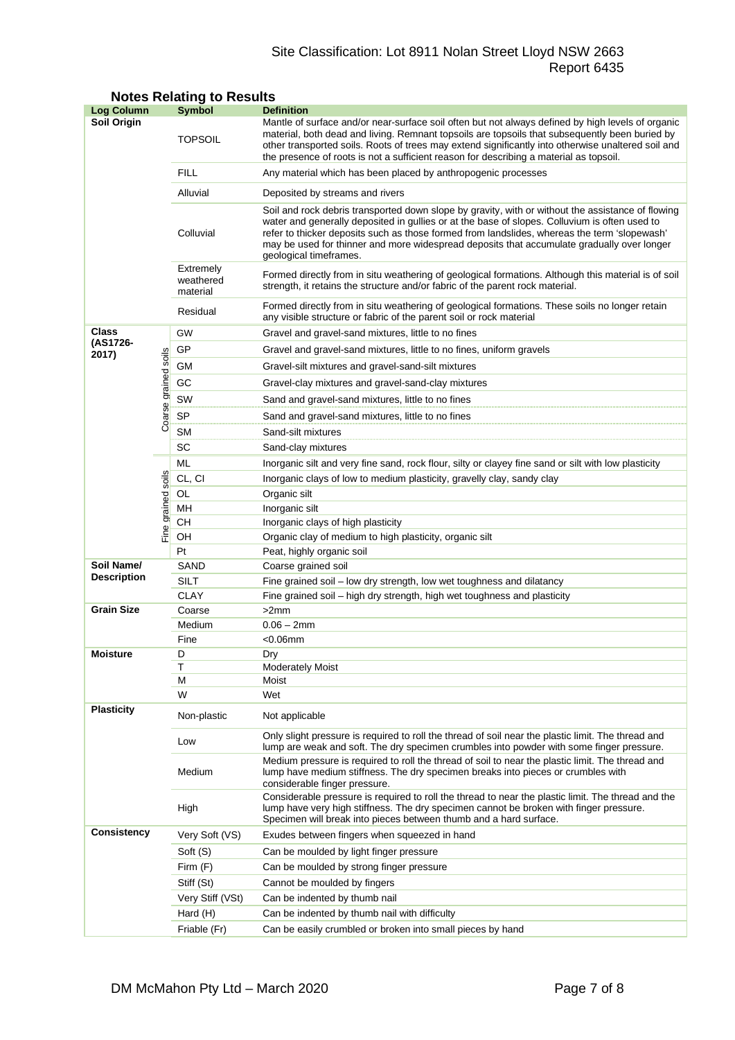### Site Classification: Lot 8911 Nolan Street Lloyd NSW 2663 Report 6435

| <b>Log Column</b>  |                      | Symbol                             | <b>Definition</b>                                                                                                                                                                                                                                                                                                                                                                                                          |  |  |  |
|--------------------|----------------------|------------------------------------|----------------------------------------------------------------------------------------------------------------------------------------------------------------------------------------------------------------------------------------------------------------------------------------------------------------------------------------------------------------------------------------------------------------------------|--|--|--|
| Soil Origin        |                      | <b>TOPSOIL</b>                     | Mantle of surface and/or near-surface soil often but not always defined by high levels of organic<br>material, both dead and living. Remnant topsoils are topsoils that subsequently been buried by<br>other transported soils. Roots of trees may extend significantly into otherwise unaltered soil and<br>the presence of roots is not a sufficient reason for describing a material as topsoil.                        |  |  |  |
|                    |                      | <b>FILL</b>                        | Any material which has been placed by anthropogenic processes                                                                                                                                                                                                                                                                                                                                                              |  |  |  |
|                    |                      | Alluvial                           | Deposited by streams and rivers                                                                                                                                                                                                                                                                                                                                                                                            |  |  |  |
|                    |                      | Colluvial                          | Soil and rock debris transported down slope by gravity, with or without the assistance of flowing<br>water and generally deposited in gullies or at the base of slopes. Colluvium is often used to<br>refer to thicker deposits such as those formed from landslides, whereas the term 'slopewash'<br>may be used for thinner and more widespread deposits that accumulate gradually over longer<br>geological timeframes. |  |  |  |
|                    |                      | Extremely<br>weathered<br>material | Formed directly from in situ weathering of geological formations. Although this material is of soil<br>strength, it retains the structure and/or fabric of the parent rock material.                                                                                                                                                                                                                                       |  |  |  |
|                    |                      | Residual                           | Formed directly from in situ weathering of geological formations. These soils no longer retain<br>any visible structure or fabric of the parent soil or rock material                                                                                                                                                                                                                                                      |  |  |  |
| Class              |                      | GW                                 | Gravel and gravel-sand mixtures, little to no fines                                                                                                                                                                                                                                                                                                                                                                        |  |  |  |
| (AS1726-<br>2017)  |                      | GP                                 | Gravel and gravel-sand mixtures, little to no fines, uniform gravels                                                                                                                                                                                                                                                                                                                                                       |  |  |  |
|                    |                      | GМ                                 | Gravel-silt mixtures and gravel-sand-silt mixtures                                                                                                                                                                                                                                                                                                                                                                         |  |  |  |
|                    |                      | GC                                 | Gravel-clay mixtures and gravel-sand-clay mixtures                                                                                                                                                                                                                                                                                                                                                                         |  |  |  |
|                    |                      | SW                                 | Sand and gravel-sand mixtures, little to no fines                                                                                                                                                                                                                                                                                                                                                                          |  |  |  |
|                    |                      | SP                                 |                                                                                                                                                                                                                                                                                                                                                                                                                            |  |  |  |
|                    | Coarse grained soils | <b>SM</b>                          | Sand and gravel-sand mixtures, little to no fines                                                                                                                                                                                                                                                                                                                                                                          |  |  |  |
|                    |                      | SC                                 | Sand-silt mixtures                                                                                                                                                                                                                                                                                                                                                                                                         |  |  |  |
|                    |                      | ML                                 | Sand-clay mixtures                                                                                                                                                                                                                                                                                                                                                                                                         |  |  |  |
|                    |                      |                                    | Inorganic silt and very fine sand, rock flour, silty or clayey fine sand or silt with low plasticity                                                                                                                                                                                                                                                                                                                       |  |  |  |
|                    |                      | CL, CI                             | Inorganic clays of low to medium plasticity, gravelly clay, sandy clay                                                                                                                                                                                                                                                                                                                                                     |  |  |  |
|                    |                      | OL<br>MH                           | Organic silt<br>Inorganic silt                                                                                                                                                                                                                                                                                                                                                                                             |  |  |  |
|                    | Fine grained soils   | CН                                 | Inorganic clays of high plasticity                                                                                                                                                                                                                                                                                                                                                                                         |  |  |  |
|                    |                      | OH                                 | Organic clay of medium to high plasticity, organic silt                                                                                                                                                                                                                                                                                                                                                                    |  |  |  |
|                    |                      | Pt                                 | Peat, highly organic soil                                                                                                                                                                                                                                                                                                                                                                                                  |  |  |  |
| Soil Name/         |                      | SAND                               | Coarse grained soil                                                                                                                                                                                                                                                                                                                                                                                                        |  |  |  |
| <b>Description</b> |                      | SILT                               | Fine grained soil - low dry strength, low wet toughness and dilatancy                                                                                                                                                                                                                                                                                                                                                      |  |  |  |
|                    |                      | <b>CLAY</b>                        | Fine grained soil – high dry strength, high wet toughness and plasticity                                                                                                                                                                                                                                                                                                                                                   |  |  |  |
| <b>Grain Size</b>  |                      | Coarse                             | >2mm                                                                                                                                                                                                                                                                                                                                                                                                                       |  |  |  |
|                    |                      | Medium                             | $0.06 - 2mm$                                                                                                                                                                                                                                                                                                                                                                                                               |  |  |  |
|                    |                      | Fine                               | $<$ 0.06 $mm$                                                                                                                                                                                                                                                                                                                                                                                                              |  |  |  |
| <b>Moisture</b>    |                      | D                                  | Drv                                                                                                                                                                                                                                                                                                                                                                                                                        |  |  |  |
|                    |                      | Т<br>м                             | <b>Moderately Moist</b><br>Moist                                                                                                                                                                                                                                                                                                                                                                                           |  |  |  |
|                    |                      | W                                  | Wet                                                                                                                                                                                                                                                                                                                                                                                                                        |  |  |  |
| <b>Plasticity</b>  |                      | Non-plastic                        | Not applicable                                                                                                                                                                                                                                                                                                                                                                                                             |  |  |  |
|                    |                      | Low                                | Only slight pressure is required to roll the thread of soil near the plastic limit. The thread and<br>lump are weak and soft. The dry specimen crumbles into powder with some finger pressure.                                                                                                                                                                                                                             |  |  |  |
|                    |                      | Medium                             | Medium pressure is required to roll the thread of soil to near the plastic limit. The thread and<br>lump have medium stiffness. The dry specimen breaks into pieces or crumbles with<br>considerable finger pressure.                                                                                                                                                                                                      |  |  |  |
|                    |                      | High                               | Considerable pressure is required to roll the thread to near the plastic limit. The thread and the<br>lump have very high stiffness. The dry specimen cannot be broken with finger pressure.<br>Specimen will break into pieces between thumb and a hard surface.                                                                                                                                                          |  |  |  |
| <b>Consistency</b> |                      | Very Soft (VS)                     | Exudes between fingers when squeezed in hand                                                                                                                                                                                                                                                                                                                                                                               |  |  |  |
|                    |                      | Soft (S)                           | Can be moulded by light finger pressure                                                                                                                                                                                                                                                                                                                                                                                    |  |  |  |
|                    |                      | Firm (F)                           | Can be moulded by strong finger pressure                                                                                                                                                                                                                                                                                                                                                                                   |  |  |  |
|                    |                      | Stiff (St)                         | Cannot be moulded by fingers                                                                                                                                                                                                                                                                                                                                                                                               |  |  |  |
|                    |                      | Very Stiff (VSt)                   | Can be indented by thumb nail                                                                                                                                                                                                                                                                                                                                                                                              |  |  |  |
|                    |                      | Hard (H)                           | Can be indented by thumb nail with difficulty                                                                                                                                                                                                                                                                                                                                                                              |  |  |  |
|                    |                      | Friable (Fr)                       | Can be easily crumbled or broken into small pieces by hand                                                                                                                                                                                                                                                                                                                                                                 |  |  |  |

### **Notes Relating to Results**